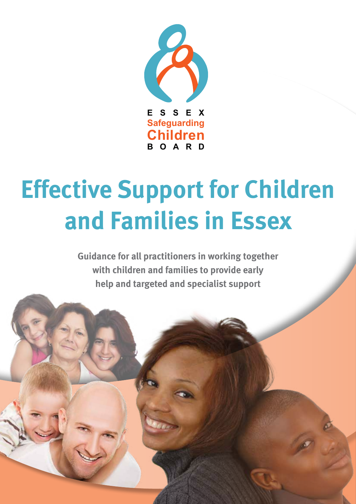

# **Effective Support for Children and Families in Essex**

**Guidance for all practitioners in working together with children and families to provide early help and targeted and specialist support**

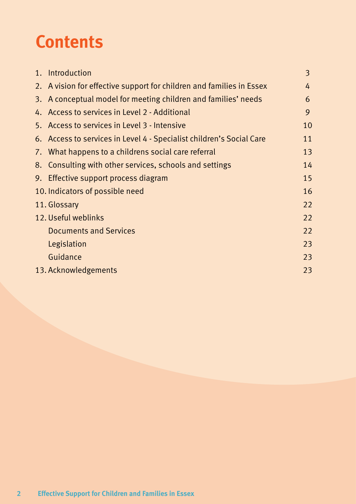### **Contents**

| 1. | Introduction                                                         | 3  |
|----|----------------------------------------------------------------------|----|
|    | 2. A vision for effective support for children and families in Essex | 4  |
|    | 3. A conceptual model for meeting children and families' needs       | 6  |
|    | 4. Access to services in Level 2 - Additional                        | 9  |
|    | 5. Access to services in Level 3 - Intensive                         | 10 |
|    | 6. Access to services in Level 4 - Specialist children's Social Care | 11 |
|    | 7. What happens to a childrens social care referral                  | 13 |
|    | 8. Consulting with other services, schools and settings              | 14 |
|    | 9. Effective support process diagram                                 | 15 |
|    | 10. Indicators of possible need                                      | 16 |
|    | 11. Glossary                                                         | 22 |
|    | 12. Useful weblinks                                                  | 22 |
|    | <b>Documents and Services</b>                                        | 22 |
|    | Legislation                                                          | 23 |
|    | Guidance                                                             | 23 |
|    | 13. Acknowledgements                                                 | 23 |
|    |                                                                      |    |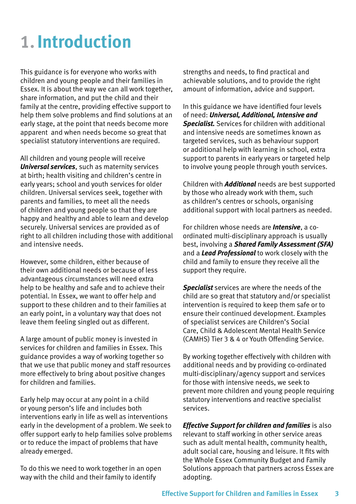### **1.Introduction**

This guidance is for everyone who works with children and young people and their families in Essex. It is about the way we can all work together, share information, and put the child and their family at the centre, providing effective support to help them solve problems and find solutions at an early stage, at the point that needs become more apparent and when needs become so great that specialist statutory interventions are required.

All children and young people will receive *Universal services*, such as maternity services at birth; health visiting and children's centre in early years; school and youth services for older children. Universal services seek, together with parents and families, to meet all the needs of children and young people so that they are happy and healthy and able to learn and develop securely. Universal services are provided as of right to all children including those with additional and intensive needs.

However, some children, either because of their own additional needs or because of less advantageous circumstances will need extra help to be healthy and safe and to achieve their potential. In Essex, we want to offer help and support to these children and to their families at an early point, in a voluntary way that does not leave them feeling singled out as different.

A large amount of public money is invested in services for children and families in Essex. This guidance provides a way of working together so that we use that public money and staff resources more effectively to bring about positive changes for children and families.

Early help may occur at any point in a child or young person's life and includes both interventions early in life as well as interventions early in the development of a problem. We seek to offer support early to help families solve problems or to reduce the impact of problems that have already emerged.

To do this we need to work together in an open way with the child and their family to identify

strengths and needs, to find practical and achievable solutions, and to provide the right amount of information, advice and support.

In this guidance we have identified four levels of need: *Universal, Additional, Intensive and Specialist.* Services for children with additional and intensive needs are sometimes known as targeted services, such as behaviour support or additional help with learning in school, extra support to parents in early years or targeted help to involve young people through youth services.

Children with *Additional* needs are best supported by those who already work with them, such as children's centres or schools, organising additional support with local partners as needed.

For children whose needs are *Intensive*, a coordinated multi-disciplinary approach is usually best, involving a *Shared Family Assessment (SFA)* and a *Lead Professional* to work closely with the child and family to ensure they receive all the support they require.

*Specialist* services are where the needs of the child are so great that statutory and/or specialist intervention is required to keep them safe or to ensure their continued development. Examples of specialist services are Children's Social Care, Child & Adolescent Mental Health Service (CAMHS) Tier 3 & 4 or Youth Offending Service.

By working together effectively with children with additional needs and by providing co-ordinated multi-disciplinary/agency support and services for those with intensive needs, we seek to prevent more children and young people requiring statutory interventions and reactive specialist services.

*Effective Support for children and families* is also relevant to staff working in other service areas such as adult mental health, community health, adult social care, housing and leisure. It fits with the Whole Essex Community Budget and Family Solutions approach that partners across Essex are adopting.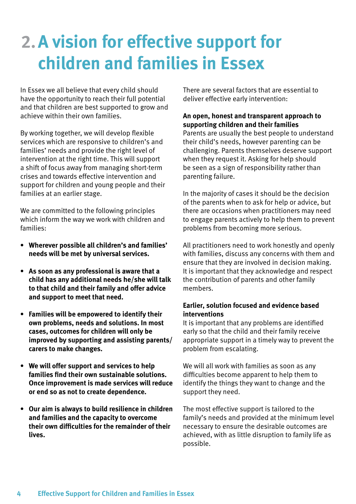### **2.A vision for effective support for children and families in Essex**

In Essex we all believe that every child should have the opportunity to reach their full potential and that children are best supported to grow and achieve within their own families.

By working together, we will develop flexible services which are responsive to children's and families' needs and provide the right level of intervention at the right time. This will support a shift of focus away from managing short-term crises and towards effective intervention and support for children and young people and their families at an earlier stage.

We are committed to the following principles which inform the way we work with children and families:

- **• Wherever possible all children's and families' needs will be met by universal services.**
- **• As soon as any professional is aware that a child has any additional needs he/she will talk to that child and their family and offer advice and support to meet that need.**
- **• Families will be empowered to identify their own problems, needs and solutions. In most cases, outcomes for children will only be improved by supporting and assisting parents/ carers to make changes.**
- **• We will offer support and services to help families find their own sustainable solutions. Once improvement is made services will reduce or end so as not to create dependence.**
- **• Our aim is always to build resilience in children and families and the capacity to overcome their own difficulties for the remainder of their lives.**

There are several factors that are essential to deliver effective early intervention:

#### **An open, honest and transparent approach to supporting children and their families**

Parents are usually the best people to understand their child's needs, however parenting can be challenging. Parents themselves deserve support when they request it. Asking for help should be seen as a sign of responsibility rather than parenting failure.

In the majority of cases it should be the decision of the parents when to ask for help or advice, but there are occasions when practitioners may need to engage parents actively to help them to prevent problems from becoming more serious.

All practitioners need to work honestly and openly with families, discuss any concerns with them and ensure that they are involved in decision making. It is important that they acknowledge and respect the contribution of parents and other family members.

#### **Earlier, solution focused and evidence based interventions**

It is important that any problems are identified early so that the child and their family receive appropriate support in a timely way to prevent the problem from escalating.

We will all work with families as soon as any difficulties become apparent to help them to identify the things they want to change and the support they need.

The most effective support is tailored to the family's needs and provided at the minimum level necessary to ensure the desirable outcomes are achieved, with as little disruption to family life as possible.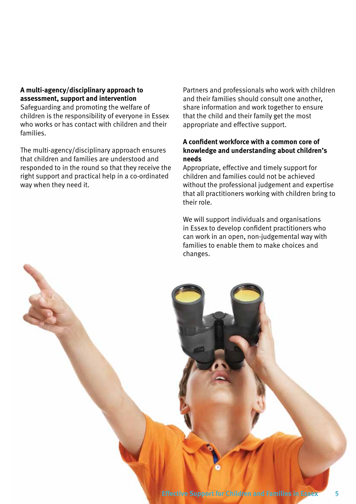#### **A multi-agency/disciplinary approach to assessment, support and intervention**

Safeguarding and promoting the welfare of children is the responsibility of everyone in Essex who works or has contact with children and their families.

The multi-agency/disciplinary approach ensures that children and families are understood and responded to in the round so that they receive the right support and practical help in a co-ordinated way when they need it.

Partners and professionals who work with children and their families should consult one another, share information and work together to ensure that the child and their family get the most appropriate and effective support.

#### **A confident workforce with a common core of knowledge and understanding about children's needs**

Appropriate, effective and timely support for children and families could not be achieved without the professional judgement and expertise that all practitioners working with children bring to their role.

We will support individuals and organisations in Essex to develop confident practitioners who can work in an open, non-judgemental way with families to enable them to make choices and changes.

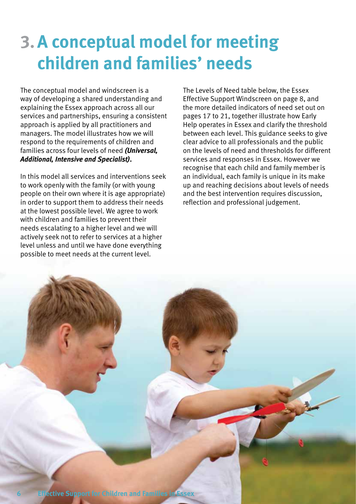### **3.A conceptual model for meeting children and families' needs**

The conceptual model and windscreen is a way of developing a shared understanding and explaining the Essex approach across all our services and partnerships, ensuring a consistent approach is applied by all practitioners and managers. The model illustrates how we will respond to the requirements of children and families across four levels of need *(Universal, Additional, Intensive and Specialist)***.**

In this model all services and interventions seek to work openly with the family (or with young people on their own where it is age appropriate) in order to support them to address their needs at the lowest possible level. We agree to work with children and families to prevent their needs escalating to a higher level and we will actively seek not to refer to services at a higher level unless and until we have done everything possible to meet needs at the current level.

The Levels of Need table below, the Essex Effective Support Windscreen on page 8, and the more detailed indicators of need set out on pages 17 to 21, together illustrate how Early Help operates in Essex and clarify the threshold between each level. This guidance seeks to give clear advice to all professionals and the public on the levels of need and thresholds for different services and responses in Essex. However we recognise that each child and family member is an individual, each family is unique in its make up and reaching decisions about levels of needs and the best intervention requires discussion, reflection and professional judgement.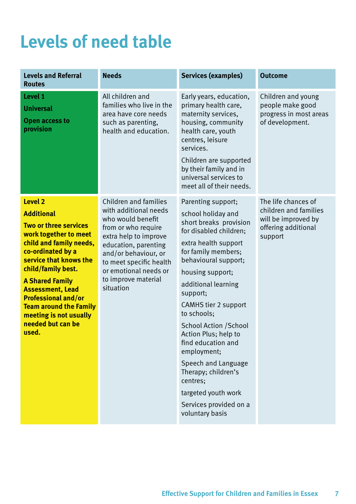### **Levels of need table**

| <b>Levels and Referral</b><br><b>Routes</b>                                                                                                                                                                                                                                                                                                                       | <b>Needs</b>                                                                                                                                                                                                                                                       | <b>Services (examples)</b>                                                                                                                                                                                                                                                                                                                                                                                                                                                                           | <b>Outcome</b>                                                                                        |
|-------------------------------------------------------------------------------------------------------------------------------------------------------------------------------------------------------------------------------------------------------------------------------------------------------------------------------------------------------------------|--------------------------------------------------------------------------------------------------------------------------------------------------------------------------------------------------------------------------------------------------------------------|------------------------------------------------------------------------------------------------------------------------------------------------------------------------------------------------------------------------------------------------------------------------------------------------------------------------------------------------------------------------------------------------------------------------------------------------------------------------------------------------------|-------------------------------------------------------------------------------------------------------|
| Level 1<br><b>Universal</b><br><b>Open access to</b><br>provision                                                                                                                                                                                                                                                                                                 | All children and<br>families who live in the<br>area have core needs<br>such as parenting,<br>health and education.                                                                                                                                                | Early years, education,<br>primary health care,<br>maternity services,<br>housing, community<br>health care, youth<br>centres, leisure<br>services.<br>Children are supported<br>by their family and in<br>universal services to<br>meet all of their needs.                                                                                                                                                                                                                                         | Children and young<br>people make good<br>progress in most areas<br>of development.                   |
| <b>Level 2</b><br><b>Additional</b><br>Two or three services<br>work together to meet<br>child and family needs,<br>co-ordinated by a<br>service that knows the<br>child/family best.<br><b>A Shared Family</b><br><b>Assessment, Lead</b><br><b>Professional and/or</b><br><b>Team around the Family</b><br>meeting is not usually<br>needed but can be<br>used. | <b>Children and families</b><br>with additional needs<br>who would benefit<br>from or who require<br>extra help to improve<br>education, parenting<br>and/or behaviour, or<br>to meet specific health<br>or emotional needs or<br>to improve material<br>situation | Parenting support;<br>school holiday and<br>short breaks provision<br>for disabled children;<br>extra health support<br>for family members;<br>behavioural support;<br>housing support;<br>additional learning<br>support;<br><b>CAMHS tier 2 support</b><br>to schools;<br><b>School Action / School</b><br>Action Plus; help to<br>find education and<br>employment;<br>Speech and Language<br>Therapy; children's<br>centres;<br>targeted youth work<br>Services provided on a<br>voluntary basis | The life chances of<br>children and families<br>will be improved by<br>offering additional<br>support |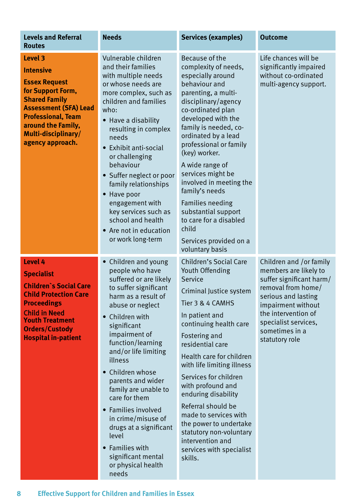| <b>Levels and Referral</b><br><b>Routes</b>                                                                                                                                                                                           | <b>Needs</b>                                                                                                                                                                                                                                                                                                                                                                                                                                                                              | <b>Services (examples)</b>                                                                                                                                                                                                                                                                                                                                                                                                                                                                                                      | <b>Outcome</b>                                                                                                                                                                                                                     |
|---------------------------------------------------------------------------------------------------------------------------------------------------------------------------------------------------------------------------------------|-------------------------------------------------------------------------------------------------------------------------------------------------------------------------------------------------------------------------------------------------------------------------------------------------------------------------------------------------------------------------------------------------------------------------------------------------------------------------------------------|---------------------------------------------------------------------------------------------------------------------------------------------------------------------------------------------------------------------------------------------------------------------------------------------------------------------------------------------------------------------------------------------------------------------------------------------------------------------------------------------------------------------------------|------------------------------------------------------------------------------------------------------------------------------------------------------------------------------------------------------------------------------------|
| <b>Level 3</b><br><b>Intensive</b><br><b>Essex Request</b><br>for Support Form,<br><b>Shared Family</b><br><b>Assessment (SFA) Lead</b><br><b>Professional, Team</b><br>around the Family,<br>Multi-disciplinary/<br>agency approach. | Vulnerable children<br>and their families<br>with multiple needs<br>or whose needs are<br>more complex, such as<br>children and families<br>who:<br>Have a disability<br>resulting in complex<br>needs<br>Exhibit anti-social<br>or challenging<br>behaviour<br>• Suffer neglect or poor<br>family relationships<br>Have poor<br>$\bullet$<br>engagement with<br>key services such as<br>school and health<br>• Are not in education<br>or work long-term                                 | Because of the<br>complexity of needs,<br>especially around<br>behaviour and<br>parenting, a multi-<br>disciplinary/agency<br>co-ordinated plan<br>developed with the<br>family is needed, co-<br>ordinated by a lead<br>professional or family<br>(key) worker.<br>A wide range of<br>services might be<br>involved in meeting the<br>family's needs<br><b>Families needing</b><br>substantial support<br>to care for a disabled<br>child                                                                                      | Life chances will be<br>significantly impaired<br>without co-ordinated<br>multi-agency support.                                                                                                                                    |
| <b>Level 4</b><br><b>Specialist</b><br><b>Children's Social Care</b><br><b>Child Protection Care</b><br><b>Proceedings</b><br><b>Child in Need</b><br><b>Youth Treatment</b><br><b>Orders/Custody</b><br><b>Hospital in-patient</b>   | Children and young<br>people who have<br>suffered or are likely<br>to suffer significant<br>harm as a result of<br>abuse or neglect<br>Children with<br>significant<br>impairment of<br>function/learning<br>and/or life limiting<br>illness<br>• Children whose<br>parents and wider<br>family are unable to<br>care for them<br>Families involved<br>in crime/misuse of<br>drugs at a significant<br>level<br><b>Families with</b><br>significant mental<br>or physical health<br>needs | Services provided on a<br>voluntary basis<br>Children's Social Care<br>Youth Offending<br>Service<br>Criminal Justice system<br>Tier 3 & 4 CAMHS<br>In patient and<br>continuing health care<br>Fostering and<br>residential care<br>Health care for children<br>with life limiting illness<br>Services for children<br>with profound and<br>enduring disability<br>Referral should be<br>made to services with<br>the power to undertake<br>statutory non-voluntary<br>intervention and<br>services with specialist<br>skills. | Children and /or family<br>members are likely to<br>suffer significant harm/<br>removal from home/<br>serious and lasting<br>impairment without<br>the intervention of<br>specialist services,<br>sometimes in a<br>statutory role |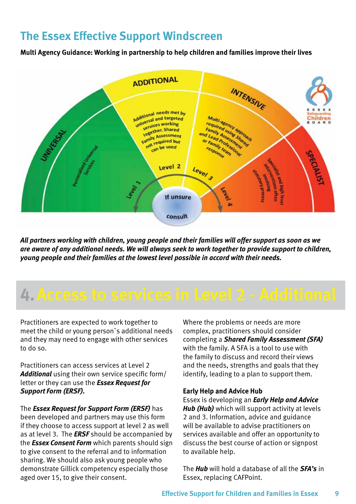### **The Essex Effective Support Windscreen**

**Multi Agency Guidance: Working in partnership to help children and families improve their lives**



*All partners working with children, young people and their families will offer support as soon as we are aware of any additional needs. We will always seek to work together to provide support to children, young people and their families at the lowest level possible in accord with their needs.*

### **4.Access to services in Level 2 - Additional**

Practitioners are expected to work together to meet the child or young person`s additional needs and they may need to engage with other services to do so.

Practitioners can access services at Level 2 *Additional* using their own service specific form/ letter or they can use the *Essex Request for Support Form (ERSF).*

The *Essex Request for Support Form (ERSF)* has been developed and partners may use this form if they choose to access support at level 2 as well as at level 3. The *ERSF* should be accompanied by the *Essex Consent Form* which parents should sign to give consent to the referral and to information sharing. We should also ask young people who demonstrate Gillick competency especially those aged over 15, to give their consent.

Where the problems or needs are more complex, practitioners should consider completing a *Shared Family Assessment (SFA)*  with the family. A SFA is a tool to use with the family to discuss and record their views and the needs, strengths and goals that they identify, leading to a plan to support them.

#### **Early Help and Advice Hub**

Essex is developing an *Early Help and Advice Hub (Hub)* which will support activity at levels 2 and 3. Information, advice and guidance will be available to advise practitioners on services available and offer an opportunity to discuss the best course of action or signpost to available help.

The *Hub* will hold a database of all the *SFA's* in Essex, replacing CAFPoint.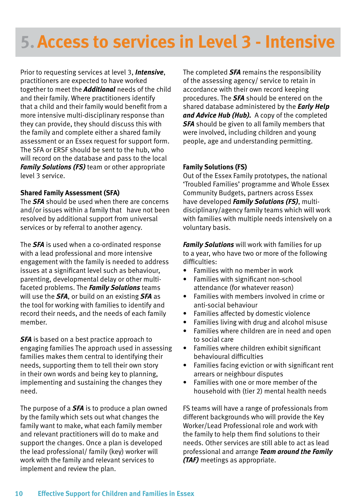### **5.Access to services in Level 3 - Intensive**

Prior to requesting services at level 3, *Intensive*, practitioners are expected to have worked together to meet the *Additional* needs of the child and their family. Where practitioners identify that a child and their family would benefit from a more intensive multi-disciplinary response than they can provide, they should discuss this with the family and complete either a shared family assessment or an Essex request for support form. The SFA or ERSF should be sent to the hub, who will record on the database and pass to the local *Family Solutions (FS)* team or other appropriate level 3 service.

#### **Shared Family Assessment (SFA)**

The *SFA* should be used when there are concerns and/or issues within a family that have not been resolved by additional support from universal services or by referral to another agency.

The *SFA* is used when a co-ordinated response with a lead professional and more intensive engagement with the family is needed to address issues at a significant level such as behaviour, parenting, developmental delay or other multifaceted problems. The *Family Solutions* teams will use the *SFA*, or build on an existing *SFA* as the tool for working with families to identify and record their needs, and the needs of each family member.

**SFA** is based on a best practice approach to engaging families The approach used in assessing families makes them central to identifying their needs, supporting them to tell their own story in their own words and being key to planning, implementing and sustaining the changes they need.

The purpose of a *SFA* is to produce a plan owned by the family which sets out what changes the family want to make, what each family member and relevant practitioners will do to make and support the changes. Once a plan is developed the lead professional/ family (key) worker will work with the family and relevant services to implement and review the plan.

The completed *SFA* remains the responsibility of the assessing agency/ service to retain in accordance with their own record keeping procedures. The *SFA* should be entered on the shared database administered by the *Early Help and Advice Hub (Hub).* A copy of the completed *SFA* should be given to all family members that were involved, including children and young people, age and understanding permitting.

#### **Family Solutions (FS)**

Out of the Essex Family prototypes, the national 'Troubled Families' programme and Whole Essex Community Budgets, partners across Essex have developed *Family Solutions (FS)*, multidisciplinary/agency family teams which will work with families with multiple needs intensively on a voluntary basis.

*Family Solutions* will work with families for up to a year, who have two or more of the following difficulties:

- Families with no member in work
- Families with significant non-school attendance (for whatever reason)
- Families with members involved in crime or anti-social behaviour
- Families affected by domestic violence
- Families living with drug and alcohol misuse
- Families where children are in need and open to social care
- Families where children exhibit significant behavioural difficulties
- Families facing eviction or with significant rent arrears or neighbour disputes
- Families with one or more member of the household with (tier 2) mental health needs

FS teams will have a range of professionals from different backgrounds who will provide the Key Worker/Lead Professional role and work with the family to help them find solutions to their needs. Other services are still able to act as lead professional and arrange *Team around the Family (TAF)* meetings as appropriate.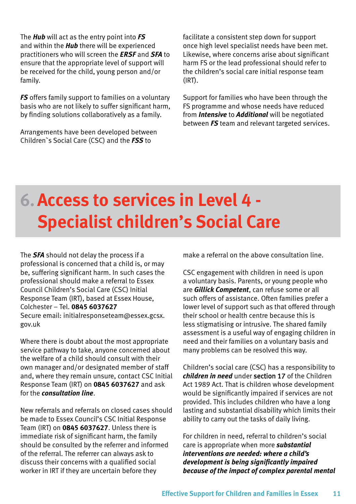The *Hub* will act as the entry point into *FS* and within the *Hub* there will be experienced practitioners who will screen the *ERSF* and *SFA* to ensure that the appropriate level of support will be received for the child, young person and/or family.

*FS* offers family support to families on a voluntary basis who are not likely to suffer significant harm, by finding solutions collaboratively as a family.

Arrangements have been developed between Children`s Social Care (CSC) and the *FSS* to

facilitate a consistent step down for support once high level specialist needs have been met. Likewise, where concerns arise about significant harm FS or the lead professional should refer to the children's social care initial response team (IRT).

Support for families who have been through the FS programme and whose needs have reduced from *Intensive* to *Additional* will be negotiated between *FS* team and relevant targeted services.

### **6.Access to services in Level 4 - Specialist children's Social Care**

The *SFA* should not delay the process if a professional is concerned that a child is, or may be, suffering significant harm. In such cases the professional should make a referral to Essex Council Children's Social Care (CSC) Initial Response Team (IRT), based at Essex House, Colchester – Tel. **0845 6037627** Secure email: initialresponseteam@essex.gcsx. gov.uk

Where there is doubt about the most appropriate service pathway to take, anyone concerned about the welfare of a child should consult with their own manager and/or designated member of staff and, where they remain unsure, contact CSC Initial Response Team (IRT) on **0845 6037627** and ask for the *consultation line*.

New referrals and referrals on closed cases should be made to Essex Council's CSC Initial Response Team (IRT) on **0845 6037627**. Unless there is immediate risk of significant harm, the family should be consulted by the referrer and informed of the referral. The referrer can always ask to discuss their concerns with a qualified social worker in IRT if they are uncertain before they

make a referral on the above consultation line.

CSC engagement with children in need is upon a voluntary basis. Parents, or young people who are *Gillick Competent*, can refuse some or all such offers of assistance. Often families prefer a lower level of support such as that offered through their school or health centre because this is less stigmatising or intrusive. The shared family assessment is a useful way of engaging children in need and their families on a voluntary basis and many problems can be resolved this way.

Children's social care (CSC) has a responsibility to *children in need* under section 17 of the Children Act 1989 Act. That is children whose development would be significantly impaired if services are not provided. This includes children who have a long lasting and substantial disability which limits their ability to carry out the tasks of daily living.

For children in need, referral to children's social care is appropriate when more *substantial interventions are needed: where a child's development is being significantly impaired because of the impact of complex parental mental*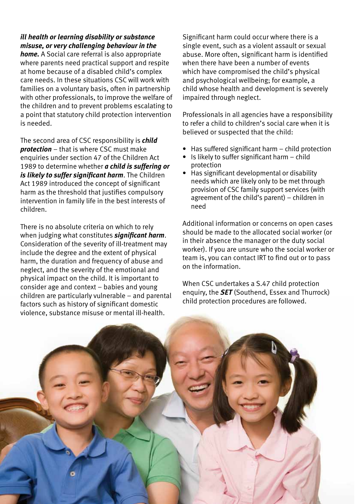#### *ill health or learning disability or substance misuse, or very challenging behaviour in the*

*home.* A Social care referral is also appropriate where parents need practical support and respite at home because of a disabled child's complex care needs. In these situations CSC will work with families on a voluntary basis, often in partnership with other professionals, to improve the welfare of the children and to prevent problems escalating to a point that statutory child protection intervention is needed.

The second area of CSC responsibility is *child protection* – that is where CSC must make enquiries under section 47 of the Children Act 1989 to determine whether *a child is suffering or is likely to suffer significant harm*. The Children Act 1989 introduced the concept of significant harm as the threshold that justifies compulsory intervention in family life in the best interests of children.

There is no absolute criteria on which to rely when judging what constitutes *significant harm*. Consideration of the severity of ill-treatment may include the degree and the extent of physical harm, the duration and frequency of abuse and neglect, and the severity of the emotional and physical impact on the child. It is important to consider age and context – babies and young children are particularly vulnerable – and parental factors such as history of significant domestic violence, substance misuse or mental ill-health.

Significant harm could occur where there is a single event, such as a violent assault or sexual abuse. More often, significant harm is identified when there have been a number of events which have compromised the child's physical and psychological wellbeing; for example, a child whose health and development is severely impaired through neglect.

Professionals in all agencies have a responsibility to refer a child to children's social care when it is believed or suspected that the child:

- Has suffered significant harm child protection
- Is likely to suffer significant harm child protection
- Has significant developmental or disability needs which are likely only to be met through provision of CSC family support services (with agreement of the child's parent) – children in need

Additional information or concerns on open cases should be made to the allocated social worker (or in their absence the manager or the duty social worker). If you are unsure who the social worker or team is, you can contact IRT to find out or to pass on the information.

When CSC undertakes a S.47 child protection enquiry, the *SET* (Southend, Essex and Thurrock) child protection procedures are followed.

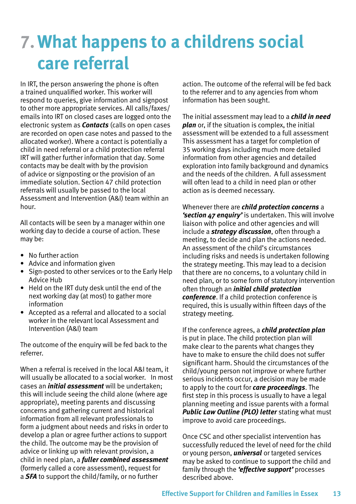### **7.What happens to a childrens social care referral**

In IRT, the person answering the phone is often a trained unqualified worker. This worker will respond to queries, give information and signpost to other more appropriate services. All calls/faxes/ emails into IRT on closed cases are logged onto the electronic system as *Contacts* (calls on open cases are recorded on open case notes and passed to the allocated worker). Where a contact is potentially a child in need referral or a child protection referral IRT will gather further information that day. Some contacts may be dealt with by the provision of advice or signposting or the provision of an immediate solution. Section 47 child protection referrals will usually be passed to the local Assessment and Intervention (A&I) team within an hour.

All contacts will be seen by a manager within one working day to decide a course of action. These may be:

- No further action
- Advice and information given
- Sign-posted to other services or to the Early Help Advice Hub
- Held on the IRT duty desk until the end of the next working day (at most) to gather more information
- Accepted as a referral and allocated to a social worker in the relevant local Assessment and Intervention (A&I) team

The outcome of the enquiry will be fed back to the referrer.

When a referral is received in the local A&I team, it will usually be allocated to a social worker. In most cases an *initial assessment* will be undertaken; this will include seeing the child alone (where age appropriate), meeting parents and discussing concerns and gathering current and historical information from all relevant professionals to form a judgment about needs and risks in order to develop a plan or agree further actions to support the child. The outcome may be the provision of advice or linking up with relevant provision, a child in need plan, a *fuller combined assessment* (formerly called a core assessment), request for a *SFA* to support the child/family, or no further

action. The outcome of the referral will be fed back to the referrer and to any agencies from whom information has been sought.

The initial assessment may lead to a *child in need plan* or, if the situation is complex, the initial assessment will be extended to a full assessment This assessment has a target for completion of 35 working days including much more detailed information from other agencies and detailed exploration into family background and dynamics and the needs of the children. A full assessment will often lead to a child in need plan or other action as is deemed necessary.

Whenever there are *child protection concerns* a *'section 47 enquiry'* is undertaken. This will involve liaison with police and other agencies and will include a *strategy discussion*, often through a meeting, to decide and plan the actions needed. An assessment of the child's circumstances including risks and needs is undertaken following the strategy meeting. This may lead to a decision that there are no concerns, to a voluntary child in need plan, or to some form of statutory intervention often through an *initial child protection conference*. If a child protection conference is required, this is usually within fifteen days of the strategy meeting.

If the conference agrees, a *child protection plan* is put in place. The child protection plan will make clear to the parents what changes they have to make to ensure the child does not suffer significant harm. Should the circumstances of the child/young person not improve or where further serious incidents occur, a decision may be made to apply to the court for *care proceedings*. The first step in this process is usually to have a legal planning meeting and issue parents with a formal *Public Law Outline (PLO) letter* stating what must improve to avoid care proceedings.

Once CSC and other specialist intervention has successfully reduced the level of need for the child or young person, *universal* or targeted services may be asked to continue to support the child and family through the *'effective support'* processes described above.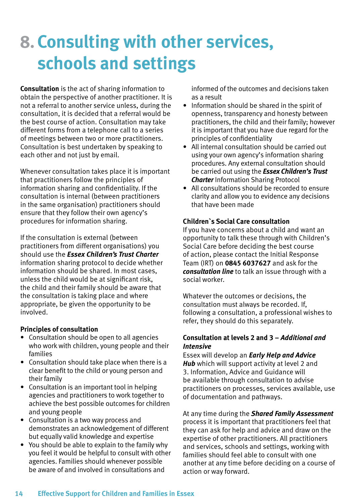### **8.Consulting with other services, schools and settings**

**Consultation** is the act of sharing information to obtain the perspective of another practitioner. It is not a referral to another service unless, during the consultation, it is decided that a referral would be the best course of action. Consultation may take different forms from a telephone call to a series of meetings between two or more practitioners. Consultation is best undertaken by speaking to each other and not just by email.

Whenever consultation takes place it is important that practitioners follow the principles of information sharing and confidentiality. If the consultation is internal (between practitioners in the same organisation) practitioners should ensure that they follow their own agency's procedures for information sharing.

If the consultation is external (between practitioners from different organisations) you should use the *Essex Children's Trust Charter* information sharing protocol to decide whether information should be shared. In most cases, unless the child would be at significant risk, the child and their family should be aware that the consultation is taking place and where appropriate, be given the opportunity to be involved.

#### **Principles of consultation**

- Consultation should be open to all agencies who work with children, young people and their families
- Consultation should take place when there is a clear benefit to the child or young person and their family
- Consultation is an important tool in helping agencies and practitioners to work together to achieve the best possible outcomes for children and young people
- Consultation is a two way process and demonstrates an acknowledgement of different but equally valid knowledge and expertise
- You should be able to explain to the family why you feel it would be helpful to consult with other agencies. Families should whenever possible be aware of and involved in consultations and

informed of the outcomes and decisions taken as a result

- Information should be shared in the spirit of openness, transparency and honesty between practitioners, the child and their family; however it is important that you have due regard for the principles of confidentiality
- All internal consultation should be carried out using your own agency's information sharing procedures. Any external consultation should be carried out using the *Essex Children's Trust Charter* Information Sharing Protocol
- All consultations should be recorded to ensure clarity and allow you to evidence any decisions that have been made

#### **Children`s Social Care consultation**

If you have concerns about a child and want an opportunity to talk these through with Children's Social Care before deciding the best course of action, please contact the Initial Response Team (IRT) on **0845 6037627** and ask for the *consultation line* to talk an issue through with a social worker.

Whatever the outcomes or decisions, the consultation must always be recorded. If, following a consultation, a professional wishes to refer, they should do this separately.

#### **Consultation at levels 2 and 3 –** *Additional and Intensive*

Essex will develop an *Early Help and Advice Hub* which will support activity at level 2 and 3. Information, Advice and Guidance will be available through consultation to advise practitioners on processes, services available, use of documentation and pathways.

At any time during the *Shared Family Assessment* process it is important that practitioners feel that they can ask for help and advice and draw on the expertise of other practitioners. All practitioners and services, schools and settings, working with families should feel able to consult with one another at any time before deciding on a course of action or way forward.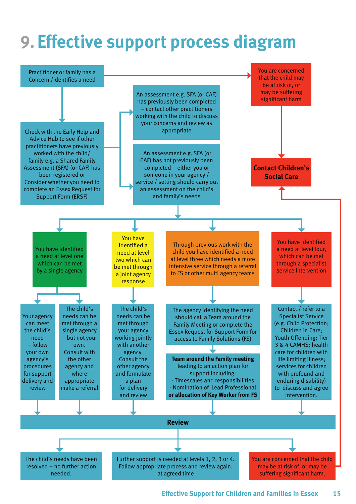### **9. Effective support process diagram**

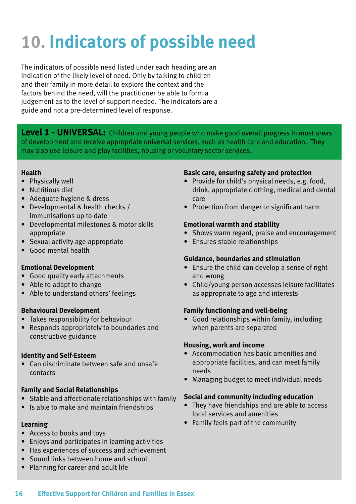## **10. Indicators of possible need**

The indicators of possible need listed under each heading are an indication of the likely level of need. Only by talking to children and their family in more detail to explore the context and the factors behind the need, will the practitioner be able to form a judgement as to the level of support needed. The indicators are a guide and not a pre-determined level of response.

Level 1 - UNIVERSAL: Children and young people who make good overall progress in most areas of development and receive appropriate universal services, such as health care and education. They may also use leisure and play facilities, housing or voluntary sector services.

#### **Health**

- Physically well
- Nutritious diet
- Adequate hygiene & dress
- Developmental & health checks / immunisations up to date
- Developmental milestones & motor skills appropriate
- Sexual activity age-appropriate
- Good mental health

#### **Emotional Development**

- Good quality early attachments
- Able to adapt to change
- Able to understand others' feelings

#### **Behavioural Development**

- Takes responsibility for behaviour
- Responds appropriately to boundaries and constructive guidance

#### **Identity and Self-Esteem**

• Can discriminate between safe and unsafe contacts

#### **Family and Social Relationships**

- Stable and affectionate relationships with family
- Is able to make and maintain friendships

#### **Learning**

- Access to books and toys
- Enjoys and participates in learning activities
- Has experiences of success and achievement
- Sound links between home and school
- Planning for career and adult life

#### **Basic care, ensuring safety and protection**

- Provide for child's physical needs, e.g. food, drink, appropriate clothing, medical and dental care
- Protection from danger or significant harm

#### **Emotional warmth and stability**

- Shows warm regard, praise and encouragement
- Ensures stable relationships

#### **Guidance, boundaries and stimulation**

- Ensure the child can develop a sense of right and wrong
- Child/young person accesses leisure facilitates as appropriate to age and interests

#### **Family functioning and well-being**

• Good relationships within family, including when parents are separated

#### **Housing, work and income**

- Accommodation has basic amenities and appropriate facilities, and can meet family needs
- Managing budget to meet individual needs

#### **Social and community including education**

- They have friendships and are able to access local services and amenities
- Family feels part of the community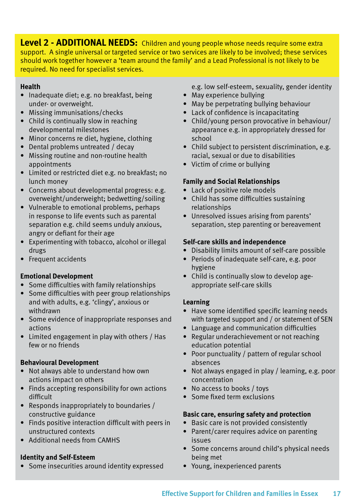**Level 2 - ADDITIONAL NEEDS:** Children and young people whose needs require some extra support. A single universal or targeted service or two services are likely to be involved; these services should work together however a 'team around the family' and a Lead Professional is not likely to be required. No need for specialist services.

#### **Health**

- Inadequate diet; e.g. no breakfast, being under- or overweight.
- Missing immunisations/checks
- Child is continually slow in reaching developmental milestones
- Minor concerns re diet, hygiene, clothing
- Dental problems untreated / decay
- Missing routine and non-routine health appointments
- Limited or restricted diet e.g. no breakfast; no lunch money
- Concerns about developmental progress: e.g. overweight/underweight; bedwetting/soiling
- Vulnerable to emotional problems, perhaps in response to life events such as parental separation e.g. child seems unduly anxious, angry or defiant for their age
- Experimenting with tobacco, alcohol or illegal drugs
- Frequent accidents

#### **Emotional Development**

- Some difficulties with family relationships
- Some difficulties with peer group relationships and with adults, e.g. 'clingy', anxious or withdrawn
- Some evidence of inappropriate responses and actions
- Limited engagement in play with others / Has few or no friends

#### **Behavioural Development**

- Not always able to understand how own actions impact on others
- Finds accepting responsibility for own actions difficult
- Responds inappropriately to boundaries / constructive guidance
- Finds positive interaction difficult with peers in unstructured contexts
- Additional needs from CAMHS

#### **Identity and Self-Esteem**

• Some insecurities around identity expressed

e.g. low self-esteem, sexuality, gender identity

- May experience bullying
- May be perpetrating bullying behaviour
- Lack of confidence is incapacitating
- Child/young person provocative in behaviour/ appearance e.g. in appropriately dressed for school
- Child subject to persistent discrimination, e.g. racial, sexual or due to disabilities
- Victim of crime or bullying

#### **Family and Social Relationships**

- Lack of positive role models
- Child has some difficulties sustaining relationships
- Unresolved issues arising from parents' separation, step parenting or bereavement

#### **Self-care skills and independence**

- Disability limits amount of self-care possible
- Periods of inadequate self-care, e.g. poor hygiene
- Child is continually slow to develop ageappropriate self-care skills

#### **Learning**

- Have some identified specific learning needs with targeted support and / or statement of SEN
- Language and communication difficulties
- Regular underachievement or not reaching education potential
- Poor punctuality / pattern of regular school absences
- Not always engaged in play / learning, e.g. poor concentration
- No access to books / toys
- Some fixed term exclusions

#### **Basic care, ensuring safety and protection**

- Basic care is not provided consistently
- Parent/carer requires advice on parenting issues
- Some concerns around child's physical needs being met
- Young, inexperienced parents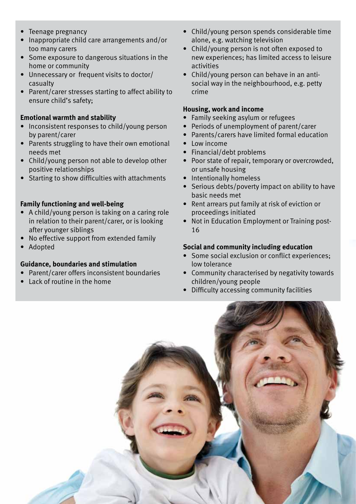- Teenage pregnancy
- Inappropriate child care arrangements and/or too many carers
- Some exposure to dangerous situations in the home or community
- Unnecessary or frequent visits to doctor/ casualty
- Parent/carer stresses starting to affect ability to ensure child's safety;

#### **Emotional warmth and stability**

- Inconsistent responses to child/young person by parent/carer
- Parents struggling to have their own emotional needs met
- Child/young person not able to develop other positive relationships
- Starting to show difficulties with attachments

#### **Family functioning and well-being**

- A child/young person is taking on a caring role in relation to their parent/carer, or is looking after younger siblings
- No effective support from extended family
- Adopted

#### **Guidance, boundaries and stimulation**

- Parent/carer offers inconsistent boundaries
- Lack of routine in the home
- Child/young person spends considerable time alone, e.g. watching television
- Child/young person is not often exposed to new experiences; has limited access to leisure activities
- Child/young person can behave in an antisocial way in the neighbourhood, e.g. petty crime

#### **Housing, work and income**

- Family seeking asylum or refugees
- Periods of unemployment of parent/carer
- Parents/carers have limited formal education
- Low income
- Financial/debt problems
- Poor state of repair, temporary or overcrowded, or unsafe housing
- Intentionally homeless
- Serious debts/poverty impact on ability to have basic needs met
- Rent arrears put family at risk of eviction or proceedings initiated
- Not in Education Employment or Training post-16

#### **Social and community including education**

- Some social exclusion or conflict experiences; low tolerance
- Community characterised by negativity towards children/young people
- Difficulty accessing community facilities

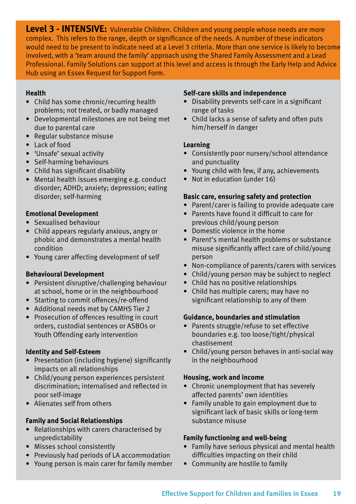**Level 3 - INTENSIVE:** Vulnerable Children. Children and young people whose needs are more complex. This refers to the range, depth or significance of the needs. A number of these indicators would need to be present to indicate need at a Level 3 criteria. More than one service is likely to become involved, with a 'team around the family' approach using the Shared Family Assessment and a Lead Professional. Family Solutions can support at this level and access is through the Early Help and Advice Hub using an Essex Request for Support Form.

#### **Health**

- Child has some chronic/recurring health problems; not treated, or badly managed
- Developmental milestones are not being met due to parental care
- Regular substance misuse
- Lack of food
- 'Unsafe' sexual activity
- Self-harming behaviours
- Child has significant disability
- Mental health issues emerging e.g. conduct disorder; ADHD; anxiety; depression; eating disorder; self-harming

#### **Emotional Development**

- Sexualised behaviour
- Child appears regularly anxious, angry or phobic and demonstrates a mental health condition
- Young carer affecting development of self

#### **Behavioural Development**

- Persistent disruptive/challenging behaviour at school, home or in the neighbourhood
- Starting to commit offences/re-offend
- Additional needs met by CAMHS Tier 2
- Prosecution of offences resulting in court orders, custodial sentences or ASBOs or Youth Offending early intervention

#### **Identity and Self-Esteem**

- Presentation (including hygiene) significantly impacts on all relationships
- Child/young person experiences persistent discrimination; internalised and reflected in poor self-image
- Alienates self from others

#### **Family and Social Relationships**

- Relationships with carers characterised by unpredictability
- Misses school consistently
- Previously had periods of LA accommodation
- Young person is main carer for family member

#### **Self-care skills and independence**

- Disability prevents self-care in a significant range of tasks
- Child lacks a sense of safety and often puts him/herself in danger

#### **Learning**

- Consistently poor nursery/school attendance and punctuality
- Young child with few, if any, achievements
- Not in education (under 16)

#### **Basic care, ensuring safety and protection**

- Parent/carer is failing to provide adequate care
- Parents have found it difficult to care for previous child/young person
- Domestic violence in the home
- Parent's mental health problems or substance misuse significantly affect care of child/young person
- Non-compliance of parents/carers with services
- Child/young person may be subject to neglect
- Child has no positive relationships
- Child has multiple carers; may have no significant relationship to any of them

#### **Guidance, boundaries and stimulation**

- Parents struggle/refuse to set effective boundaries e.g. too loose/tight/physical chastisement
- Child/young person behaves in anti-social way in the neighbourhood

#### **Housing, work and income**

- Chronic unemployment that has severely affected parents' own identities
- Family unable to gain employment due to significant lack of basic skills or long-term substance misuse

#### **Family functioning and well-being**

- Family have serious physical and mental health difficulties impacting on their child
- Community are hostile to family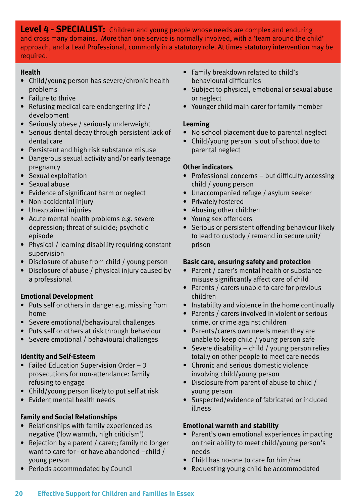**Level 4 - SPECIALIST:** Children and young people whose needs are complex and enduring and cross many domains. More than one service is normally involved, with a 'team around the child' approach, and a Lead Professional, commonly in a statutory role. At times statutory intervention may be required.

#### **Health**

- Child/young person has severe/chronic health problems
- Failure to thrive
- Refusing medical care endangering life / development
- Seriously obese / seriously underweight
- Serious dental decay through persistent lack of dental care
- Persistent and high risk substance misuse
- Dangerous sexual activity and/or early teenage pregnancy
- Sexual exploitation
- Sexual abuse
- Evidence of significant harm or neglect
- Non-accidental injury
- Unexplained injuries
- Acute mental health problems e.g. severe depression; threat of suicide; psychotic episode
- Physical / learning disability requiring constant supervision
- Disclosure of abuse from child / young person
- Disclosure of abuse / physical injury caused by a professional

#### **Emotional Development**

- Puts self or others in danger e.g. missing from home
- Severe emotional/behavioural challenges
- Puts self or others at risk through behaviour
- Severe emotional / behavioural challenges

#### **Identity and Self-Esteem**

- Failed Education Supervision Order 3 prosecutions for non-attendance: family refusing to engage
- Child/young person likely to put self at risk
- Evident mental health needs

#### **Family and Social Relationships**

- Relationships with family experienced as negative ('low warmth, high criticism')
- Rejection by a parent / carer:: family no longer want to care for - or have abandoned –child / young person
- Periods accommodated by Council
- Family breakdown related to child's behavioural difficulties
- Subject to physical, emotional or sexual abuse or neglect
- Younger child main carer for family member

#### **Learning**

- No school placement due to parental neglect
- Child/young person is out of school due to parental neglect

#### **Other indicators**

- Professional concerns but difficulty accessing child / young person
- Unaccompanied refuge / asylum seeker
- Privately fostered
- Abusing other children
- Young sex offenders
- Serious or persistent offending behaviour likely to lead to custody / remand in secure unit/ prison

#### **Basic care, ensuring safety and protection**

- Parent / carer's mental health or substance misuse significantly affect care of child
- Parents / carers unable to care for previous children
- Instability and violence in the home continually
- Parents / carers involved in violent or serious crime, or crime against children
- Parents/carers own needs mean they are unable to keep child / young person safe
- Severe disability child / young person relies totally on other people to meet care needs
- Chronic and serious domestic violence involving child/young person
- Disclosure from parent of abuse to child / young person
- Suspected/evidence of fabricated or induced illness

#### **Emotional warmth and stability**

- Parent's own emotional experiences impacting on their ability to meet child/young person's needs
- Child has no-one to care for him/her
- Requesting young child be accommodated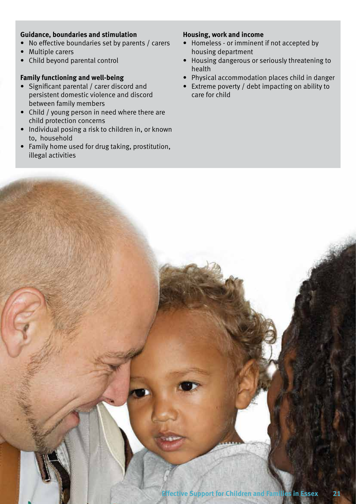#### **Guidance, boundaries and stimulation**

- No effective boundaries set by parents / carers
- Multiple carers
- • Child beyond parental control

#### **Family functioning and well-being**

- Significant parental / carer discord and persistent domestic violence and discord between family members
- Child / young person in need where there are child protection concerns
- Individual posing a risk to children in, or known to, household
- • Family home used for drug taking, prostitution, illegal activities

#### **Housing, work and income**

- Homeless or imminent if not accepted by housing department
- • Housing dangerous or seriously threatening to health
- • Physical accommodation places child in danger
- Extreme poverty / debt impacting on ability to care for child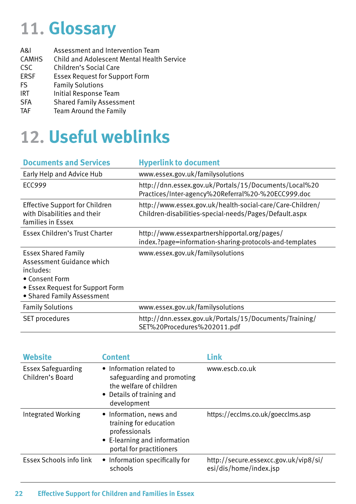### **11. Glossary**

| A&I          | Assessment and Intervention Team                  |
|--------------|---------------------------------------------------|
| <b>CAMHS</b> | <b>Child and Adolescent Mental Health Service</b> |
| <b>CSC</b>   | Children's Social Care                            |
| <b>ERSF</b>  | <b>Essex Request for Support Form</b>             |
| <b>FS</b>    | <b>Family Solutions</b>                           |
| <b>IRT</b>   | Initial Response Team                             |
| <b>SFA</b>   | <b>Shared Family Assessment</b>                   |
| <b>TAF</b>   | Team Around the Family                            |
|              |                                                   |

### **12. Useful weblinks**

| <b>Documents and Services</b>                                                                                                                            | <b>Hyperlink to document</b>                                                                                        |
|----------------------------------------------------------------------------------------------------------------------------------------------------------|---------------------------------------------------------------------------------------------------------------------|
| Early Help and Advice Hub                                                                                                                                | www.essex.gov.uk/familysolutions                                                                                    |
| <b>ECC999</b>                                                                                                                                            | http://dnn.essex.gov.uk/Portals/15/Documents/Local%20<br>Practices/Inter-agency%20Referral%20-%20ECC999.doc         |
| <b>Effective Support for Children</b><br>with Disabilities and their<br>families in Essex                                                                | http://www.essex.gov.uk/health-social-care/Care-Children/<br>Children-disabilities-special-needs/Pages/Default.aspx |
| Essex Children's Trust Charter                                                                                                                           | http://www.essexpartnershipportal.org/pages/<br>index.?page=information-sharing-protocols-and-templates             |
| <b>Essex Shared Family</b><br>Assessment Guidance which<br>includes:<br>• Consent Form<br>• Essex Request for Support Form<br>• Shared Family Assessment | www.essex.gov.uk/familysolutions                                                                                    |
| <b>Family Solutions</b>                                                                                                                                  | www.essex.gov.uk/familysolutions                                                                                    |
| <b>SET procedures</b>                                                                                                                                    | http://dnn.essex.gov.uk/Portals/15/Documents/Training/<br>SET%20Procedures%202011.pdf                               |

| <b>Website</b>                                | <b>Content</b>                                                                                                                 | Link                                                            |
|-----------------------------------------------|--------------------------------------------------------------------------------------------------------------------------------|-----------------------------------------------------------------|
| <b>Essex Safeguarding</b><br>Children's Board | • Information related to<br>safeguarding and promoting<br>the welfare of children<br>• Details of training and<br>development  | www.escb.co.uk                                                  |
| Integrated Working                            | • Information, news and<br>training for education<br>professionals<br>• E-learning and information<br>portal for practitioners | https://ecclms.co.uk/goecclms.asp                               |
| Essex Schools info link                       | • Information specifically for<br>schools                                                                                      | http://secure.essexcc.gov.uk/vip8/si/<br>esi/dis/home/index.jsp |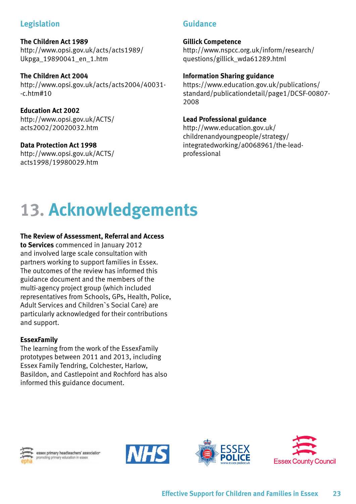#### **Legislation**

#### **The Children Act 1989** http://www.opsi.gov.uk/acts/acts1989/ Ukpga\_19890041\_en\_1.htm

**The Children Act 2004** http://www.opsi.gov.uk/acts/acts2004/40031- -c.htm#10

**Education Act 2002** http://www.opsi.gov.uk/ACTS/ acts2002/20020032.htm

#### **Data Protection Act 1998**

http://www.opsi.gov.uk/ACTS/ acts1998/19980029.htm

#### **Guidance**

#### **Gillick Competence**

http://www.nspcc.org.uk/inform/research/ questions/gillick\_wda61289.html

#### **Information Sharing guidance**

https://www.education.gov.uk/publications/ standard/publicationdetail/page1/DCSF-00807- 2008

#### **Lead Professional guidance**

http://www.education.gov.uk/ childrenandyoungpeople/strategy/ integratedworking/a0068961/the-leadprofessional

### **13. Acknowledgements**

#### **The Review of Assessment, Referral and Access**

**to Services** commenced in January 2012 and involved large scale consultation with partners working to support families in Essex. The outcomes of the review has informed this guidance document and the members of the multi-agency project group (which included representatives from Schools, GPs, Health, Police, Adult Services and Children`s Social Care) are particularly acknowledged for their contributions and support.

#### **EssexFamily**

The learning from the work of the EssexFamily prototypes between 2011 and 2013, including Essex Family Tendring, Colchester, Harlow, Basildon, and Castlepoint and Rochford has also informed this guidance document.



sex primary headteachers' association to primary education in